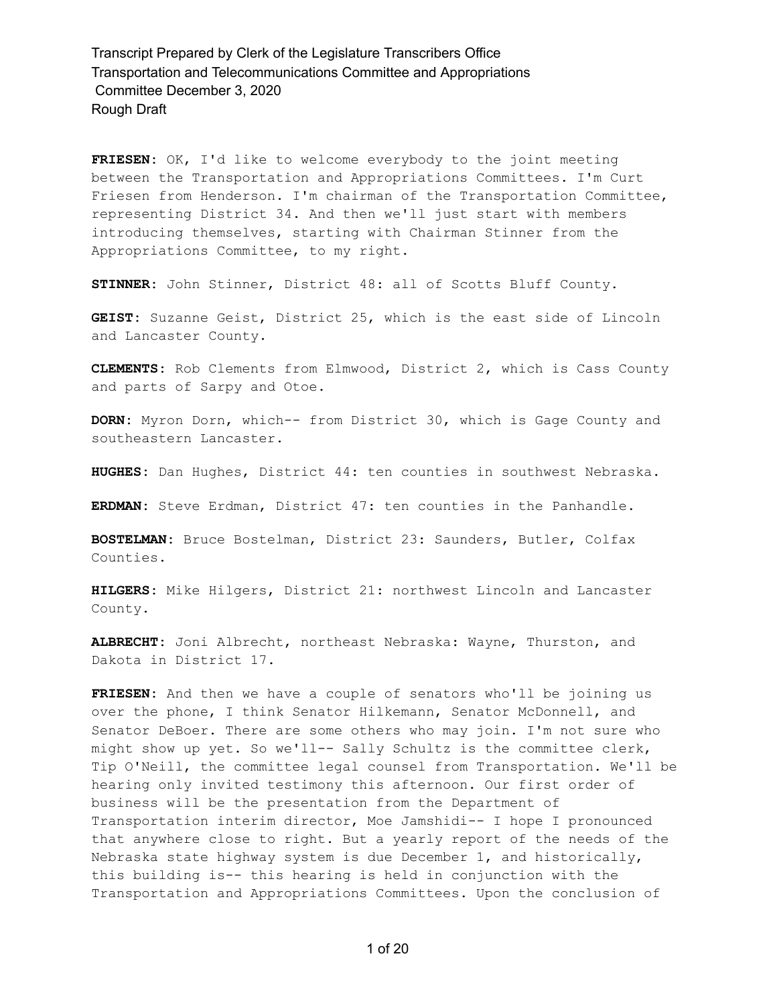**FRIESEN:** OK, I'd like to welcome everybody to the joint meeting between the Transportation and Appropriations Committees. I'm Curt Friesen from Henderson. I'm chairman of the Transportation Committee, representing District 34. And then we'll just start with members introducing themselves, starting with Chairman Stinner from the Appropriations Committee, to my right.

**STINNER:** John Stinner, District 48: all of Scotts Bluff County.

**GEIST:** Suzanne Geist, District 25, which is the east side of Lincoln and Lancaster County.

**CLEMENTS:** Rob Clements from Elmwood, District 2, which is Cass County and parts of Sarpy and Otoe.

**DORN:** Myron Dorn, which-- from District 30, which is Gage County and southeastern Lancaster.

**HUGHES:** Dan Hughes, District 44: ten counties in southwest Nebraska.

**ERDMAN:** Steve Erdman, District 47: ten counties in the Panhandle.

**BOSTELMAN:** Bruce Bostelman, District 23: Saunders, Butler, Colfax Counties.

**HILGERS:** Mike Hilgers, District 21: northwest Lincoln and Lancaster County.

**ALBRECHT:** Joni Albrecht, northeast Nebraska: Wayne, Thurston, and Dakota in District 17.

**FRIESEN:** And then we have a couple of senators who'll be joining us over the phone, I think Senator Hilkemann, Senator McDonnell, and Senator DeBoer. There are some others who may join. I'm not sure who might show up yet. So we'll-- Sally Schultz is the committee clerk, Tip O'Neill, the committee legal counsel from Transportation. We'll be hearing only invited testimony this afternoon. Our first order of business will be the presentation from the Department of Transportation interim director, Moe Jamshidi-- I hope I pronounced that anywhere close to right. But a yearly report of the needs of the Nebraska state highway system is due December 1, and historically, this building is-- this hearing is held in conjunction with the Transportation and Appropriations Committees. Upon the conclusion of

1 of 20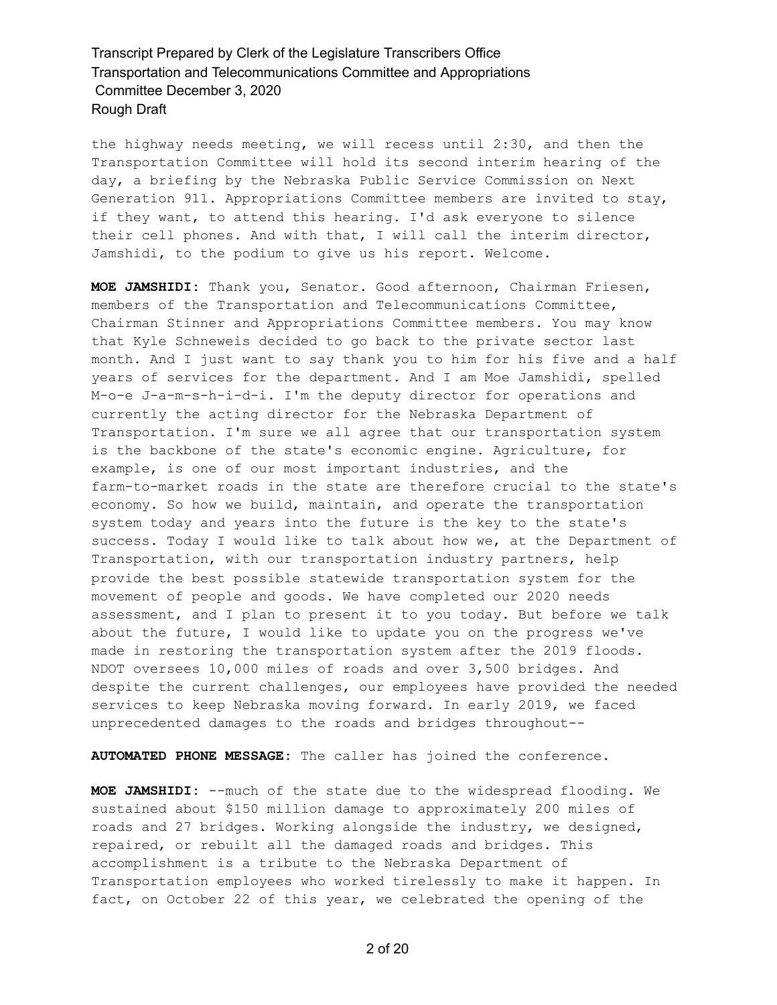the highway needs meeting, we will recess until 2:30, and then the Transportation Committee will hold its second interim hearing of the day, a briefing by the Nebraska Public Service Commission on Next Generation 911. Appropriations Committee members are invited to stay, if they want, to attend this hearing. I'd ask everyone to silence their cell phones. And with that, I will call the interim director, Jamshidi, to the podium to give us his report. Welcome.

**MOE JAMSHIDI:** Thank you, Senator. Good afternoon, Chairman Friesen, members of the Transportation and Telecommunications Committee, Chairman Stinner and Appropriations Committee members. You may know that Kyle Schneweis decided to go back to the private sector last month. And I just want to say thank you to him for his five and a half years of services for the department. And I am Moe Jamshidi, spelled M-o-e J-a-m-s-h-i-d-i. I'm the deputy director for operations and currently the acting director for the Nebraska Department of Transportation. I'm sure we all agree that our transportation system is the backbone of the state's economic engine. Agriculture, for example, is one of our most important industries, and the farm-to-market roads in the state are therefore crucial to the state's economy. So how we build, maintain, and operate the transportation system today and years into the future is the key to the state's success. Today I would like to talk about how we, at the Department of Transportation, with our transportation industry partners, help provide the best possible statewide transportation system for the movement of people and goods. We have completed our 2020 needs assessment, and I plan to present it to you today. But before we talk about the future, I would like to update you on the progress we've made in restoring the transportation system after the 2019 floods. NDOT oversees 10,000 miles of roads and over 3,500 bridges. And despite the current challenges, our employees have provided the needed services to keep Nebraska moving forward. In early 2019, we faced unprecedented damages to the roads and bridges throughout--

**AUTOMATED PHONE MESSAGE:** The caller has joined the conference.

**MOE JAMSHIDI:** --much of the state due to the widespread flooding. We sustained about \$150 million damage to approximately 200 miles of roads and 27 bridges. Working alongside the industry, we designed, repaired, or rebuilt all the damaged roads and bridges. This accomplishment is a tribute to the Nebraska Department of Transportation employees who worked tirelessly to make it happen. In fact, on October 22 of this year, we celebrated the opening of the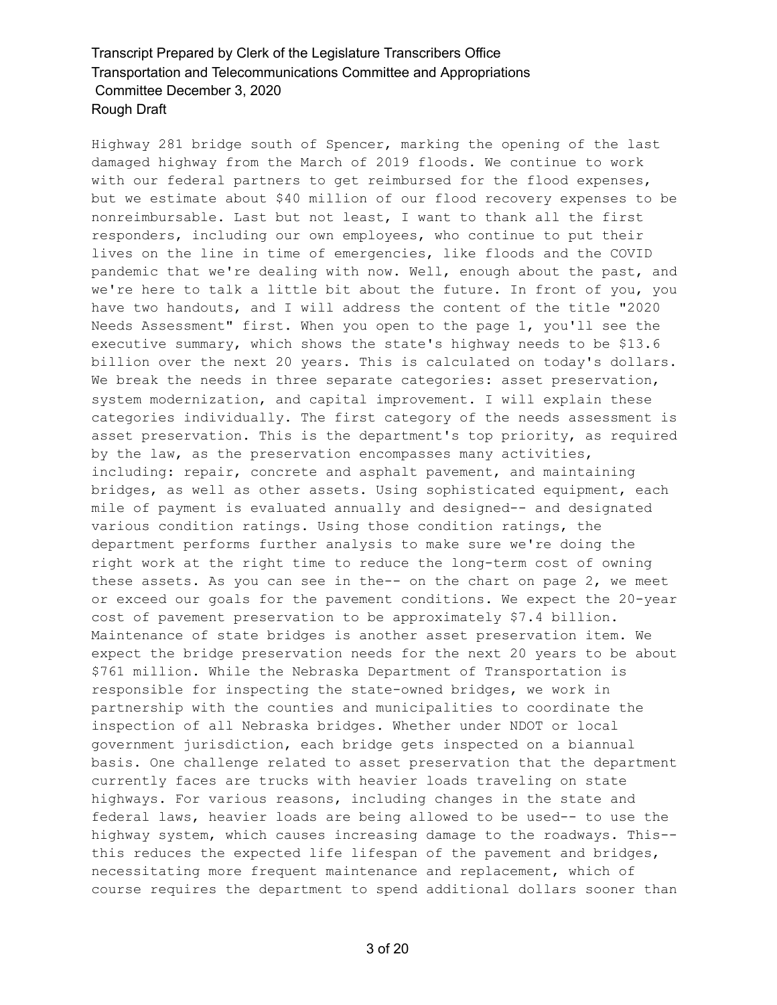Highway 281 bridge south of Spencer, marking the opening of the last damaged highway from the March of 2019 floods. We continue to work with our federal partners to get reimbursed for the flood expenses, but we estimate about \$40 million of our flood recovery expenses to be nonreimbursable. Last but not least, I want to thank all the first responders, including our own employees, who continue to put their lives on the line in time of emergencies, like floods and the COVID pandemic that we're dealing with now. Well, enough about the past, and we're here to talk a little bit about the future. In front of you, you have two handouts, and I will address the content of the title "2020 Needs Assessment" first. When you open to the page 1, you'll see the executive summary, which shows the state's highway needs to be \$13.6 billion over the next 20 years. This is calculated on today's dollars. We break the needs in three separate categories: asset preservation, system modernization, and capital improvement. I will explain these categories individually. The first category of the needs assessment is asset preservation. This is the department's top priority, as required by the law, as the preservation encompasses many activities, including: repair, concrete and asphalt pavement, and maintaining bridges, as well as other assets. Using sophisticated equipment, each mile of payment is evaluated annually and designed-- and designated various condition ratings. Using those condition ratings, the department performs further analysis to make sure we're doing the right work at the right time to reduce the long-term cost of owning these assets. As you can see in the-- on the chart on page 2, we meet or exceed our goals for the pavement conditions. We expect the 20-year cost of pavement preservation to be approximately \$7.4 billion. Maintenance of state bridges is another asset preservation item. We expect the bridge preservation needs for the next 20 years to be about \$761 million. While the Nebraska Department of Transportation is responsible for inspecting the state-owned bridges, we work in partnership with the counties and municipalities to coordinate the inspection of all Nebraska bridges. Whether under NDOT or local government jurisdiction, each bridge gets inspected on a biannual basis. One challenge related to asset preservation that the department currently faces are trucks with heavier loads traveling on state highways. For various reasons, including changes in the state and federal laws, heavier loads are being allowed to be used-- to use the highway system, which causes increasing damage to the roadways. This- this reduces the expected life lifespan of the pavement and bridges, necessitating more frequent maintenance and replacement, which of course requires the department to spend additional dollars sooner than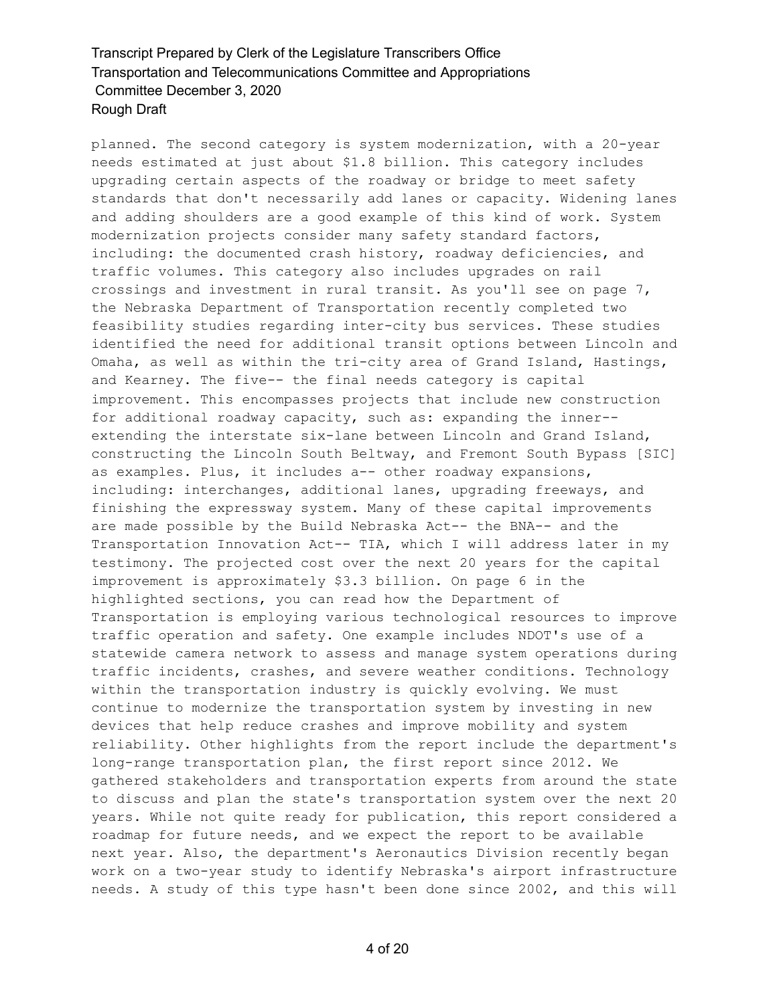planned. The second category is system modernization, with a 20-year needs estimated at just about \$1.8 billion. This category includes upgrading certain aspects of the roadway or bridge to meet safety standards that don't necessarily add lanes or capacity. Widening lanes and adding shoulders are a good example of this kind of work. System modernization projects consider many safety standard factors, including: the documented crash history, roadway deficiencies, and traffic volumes. This category also includes upgrades on rail crossings and investment in rural transit. As you'll see on page 7, the Nebraska Department of Transportation recently completed two feasibility studies regarding inter-city bus services. These studies identified the need for additional transit options between Lincoln and Omaha, as well as within the tri-city area of Grand Island, Hastings, and Kearney. The five-- the final needs category is capital improvement. This encompasses projects that include new construction for additional roadway capacity, such as: expanding the inner- extending the interstate six-lane between Lincoln and Grand Island, constructing the Lincoln South Beltway, and Fremont South Bypass [SIC] as examples. Plus, it includes a-- other roadway expansions, including: interchanges, additional lanes, upgrading freeways, and finishing the expressway system. Many of these capital improvements are made possible by the Build Nebraska Act-- the BNA-- and the Transportation Innovation Act-- TIA, which I will address later in my testimony. The projected cost over the next 20 years for the capital improvement is approximately \$3.3 billion. On page 6 in the highlighted sections, you can read how the Department of Transportation is employing various technological resources to improve traffic operation and safety. One example includes NDOT's use of a statewide camera network to assess and manage system operations during traffic incidents, crashes, and severe weather conditions. Technology within the transportation industry is quickly evolving. We must continue to modernize the transportation system by investing in new devices that help reduce crashes and improve mobility and system reliability. Other highlights from the report include the department's long-range transportation plan, the first report since 2012. We gathered stakeholders and transportation experts from around the state to discuss and plan the state's transportation system over the next 20 years. While not quite ready for publication, this report considered a roadmap for future needs, and we expect the report to be available next year. Also, the department's Aeronautics Division recently began work on a two-year study to identify Nebraska's airport infrastructure needs. A study of this type hasn't been done since 2002, and this will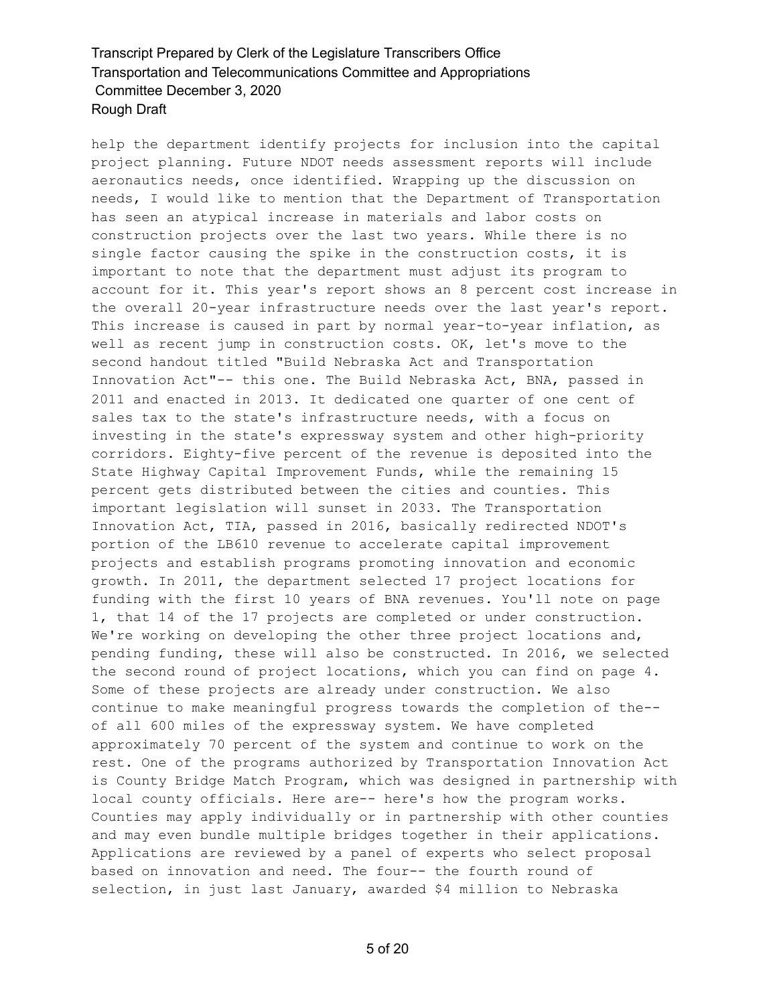help the department identify projects for inclusion into the capital project planning. Future NDOT needs assessment reports will include aeronautics needs, once identified. Wrapping up the discussion on needs, I would like to mention that the Department of Transportation has seen an atypical increase in materials and labor costs on construction projects over the last two years. While there is no single factor causing the spike in the construction costs, it is important to note that the department must adjust its program to account for it. This year's report shows an 8 percent cost increase in the overall 20-year infrastructure needs over the last year's report. This increase is caused in part by normal year-to-year inflation, as well as recent jump in construction costs. OK, let's move to the second handout titled "Build Nebraska Act and Transportation Innovation Act"-- this one. The Build Nebraska Act, BNA, passed in 2011 and enacted in 2013. It dedicated one quarter of one cent of sales tax to the state's infrastructure needs, with a focus on investing in the state's expressway system and other high-priority corridors. Eighty-five percent of the revenue is deposited into the State Highway Capital Improvement Funds, while the remaining 15 percent gets distributed between the cities and counties. This important legislation will sunset in 2033. The Transportation Innovation Act, TIA, passed in 2016, basically redirected NDOT's portion of the LB610 revenue to accelerate capital improvement projects and establish programs promoting innovation and economic growth. In 2011, the department selected 17 project locations for funding with the first 10 years of BNA revenues. You'll note on page 1, that 14 of the 17 projects are completed or under construction. We're working on developing the other three project locations and, pending funding, these will also be constructed. In 2016, we selected the second round of project locations, which you can find on page 4. Some of these projects are already under construction. We also continue to make meaningful progress towards the completion of the- of all 600 miles of the expressway system. We have completed approximately 70 percent of the system and continue to work on the rest. One of the programs authorized by Transportation Innovation Act is County Bridge Match Program, which was designed in partnership with local county officials. Here are-- here's how the program works. Counties may apply individually or in partnership with other counties and may even bundle multiple bridges together in their applications. Applications are reviewed by a panel of experts who select proposal based on innovation and need. The four-- the fourth round of selection, in just last January, awarded \$4 million to Nebraska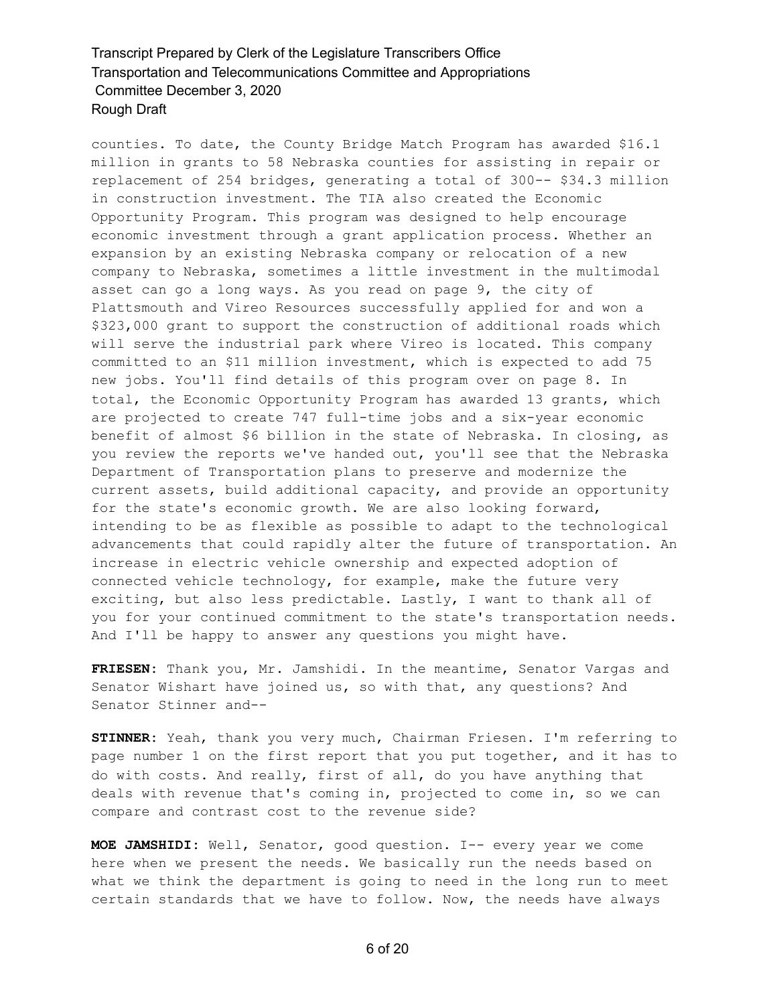counties. To date, the County Bridge Match Program has awarded \$16.1 million in grants to 58 Nebraska counties for assisting in repair or replacement of 254 bridges, generating a total of 300-- \$34.3 million in construction investment. The TIA also created the Economic Opportunity Program. This program was designed to help encourage economic investment through a grant application process. Whether an expansion by an existing Nebraska company or relocation of a new company to Nebraska, sometimes a little investment in the multimodal asset can go a long ways. As you read on page 9, the city of Plattsmouth and Vireo Resources successfully applied for and won a \$323,000 grant to support the construction of additional roads which will serve the industrial park where Vireo is located. This company committed to an \$11 million investment, which is expected to add 75 new jobs. You'll find details of this program over on page 8. In total, the Economic Opportunity Program has awarded 13 grants, which are projected to create 747 full-time jobs and a six-year economic benefit of almost \$6 billion in the state of Nebraska. In closing, as you review the reports we've handed out, you'll see that the Nebraska Department of Transportation plans to preserve and modernize the current assets, build additional capacity, and provide an opportunity for the state's economic growth. We are also looking forward, intending to be as flexible as possible to adapt to the technological advancements that could rapidly alter the future of transportation. An increase in electric vehicle ownership and expected adoption of connected vehicle technology, for example, make the future very exciting, but also less predictable. Lastly, I want to thank all of you for your continued commitment to the state's transportation needs. And I'll be happy to answer any questions you might have.

**FRIESEN:** Thank you, Mr. Jamshidi. In the meantime, Senator Vargas and Senator Wishart have joined us, so with that, any questions? And Senator Stinner and--

**STINNER:** Yeah, thank you very much, Chairman Friesen. I'm referring to page number 1 on the first report that you put together, and it has to do with costs. And really, first of all, do you have anything that deals with revenue that's coming in, projected to come in, so we can compare and contrast cost to the revenue side?

**MOE JAMSHIDI:** Well, Senator, good question. I-- every year we come here when we present the needs. We basically run the needs based on what we think the department is going to need in the long run to meet certain standards that we have to follow. Now, the needs have always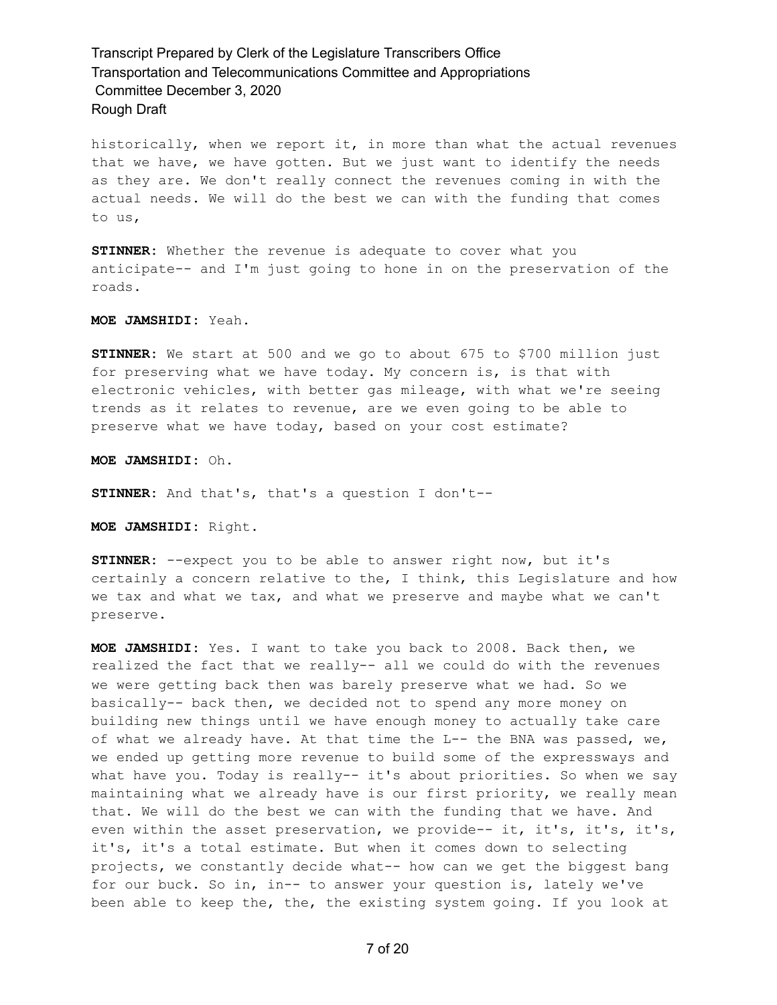historically, when we report it, in more than what the actual revenues that we have, we have gotten. But we just want to identify the needs as they are. We don't really connect the revenues coming in with the actual needs. We will do the best we can with the funding that comes to us,

**STINNER:** Whether the revenue is adequate to cover what you anticipate-- and I'm just going to hone in on the preservation of the roads.

### **MOE JAMSHIDI:** Yeah.

**STINNER:** We start at 500 and we go to about 675 to \$700 million just for preserving what we have today. My concern is, is that with electronic vehicles, with better gas mileage, with what we're seeing trends as it relates to revenue, are we even going to be able to preserve what we have today, based on your cost estimate?

**MOE JAMSHIDI:** Oh.

**STINNER:** And that's, that's a question I don't--

**MOE JAMSHIDI:** Right.

**STINNER:** --expect you to be able to answer right now, but it's certainly a concern relative to the, I think, this Legislature and how we tax and what we tax, and what we preserve and maybe what we can't preserve.

**MOE JAMSHIDI:** Yes. I want to take you back to 2008. Back then, we realized the fact that we really-- all we could do with the revenues we were getting back then was barely preserve what we had. So we basically-- back then, we decided not to spend any more money on building new things until we have enough money to actually take care of what we already have. At that time the L-- the BNA was passed, we, we ended up getting more revenue to build some of the expressways and what have you. Today is really-- it's about priorities. So when we say maintaining what we already have is our first priority, we really mean that. We will do the best we can with the funding that we have. And even within the asset preservation, we provide-- it, it's, it's, it's, it's, it's a total estimate. But when it comes down to selecting projects, we constantly decide what-- how can we get the biggest bang for our buck. So in, in-- to answer your question is, lately we've been able to keep the, the, the existing system going. If you look at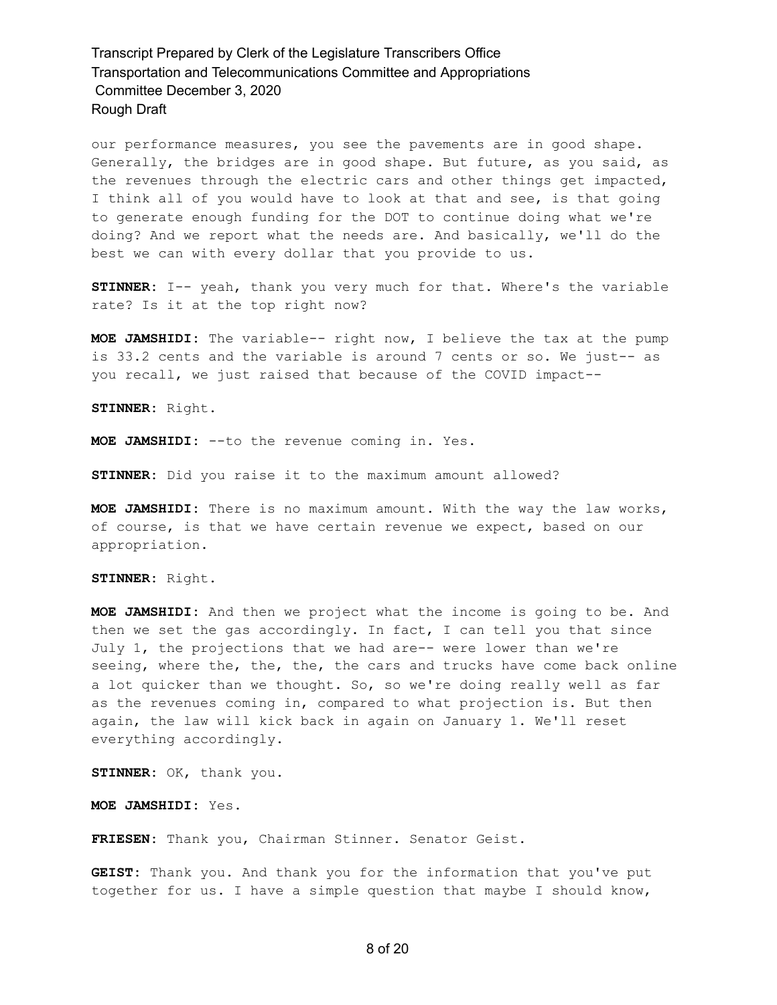our performance measures, you see the pavements are in good shape. Generally, the bridges are in good shape. But future, as you said, as the revenues through the electric cars and other things get impacted, I think all of you would have to look at that and see, is that going to generate enough funding for the DOT to continue doing what we're doing? And we report what the needs are. And basically, we'll do the best we can with every dollar that you provide to us.

**STINNER:** I-- yeah, thank you very much for that. Where's the variable rate? Is it at the top right now?

**MOE JAMSHIDI:** The variable-- right now, I believe the tax at the pump is 33.2 cents and the variable is around 7 cents or so. We just-- as you recall, we just raised that because of the COVID impact--

**STINNER:** Right.

**MOE JAMSHIDI:** --to the revenue coming in. Yes.

**STINNER:** Did you raise it to the maximum amount allowed?

**MOE JAMSHIDI:** There is no maximum amount. With the way the law works, of course, is that we have certain revenue we expect, based on our appropriation.

**STINNER:** Right.

**MOE JAMSHIDI:** And then we project what the income is going to be. And then we set the gas accordingly. In fact, I can tell you that since July 1, the projections that we had are-- were lower than we're seeing, where the, the, the, the cars and trucks have come back online a lot quicker than we thought. So, so we're doing really well as far as the revenues coming in, compared to what projection is. But then again, the law will kick back in again on January 1. We'll reset everything accordingly.

**STINNER:** OK, thank you.

**MOE JAMSHIDI:** Yes.

**FRIESEN:** Thank you, Chairman Stinner. Senator Geist.

**GEIST:** Thank you. And thank you for the information that you've put together for us. I have a simple question that maybe I should know,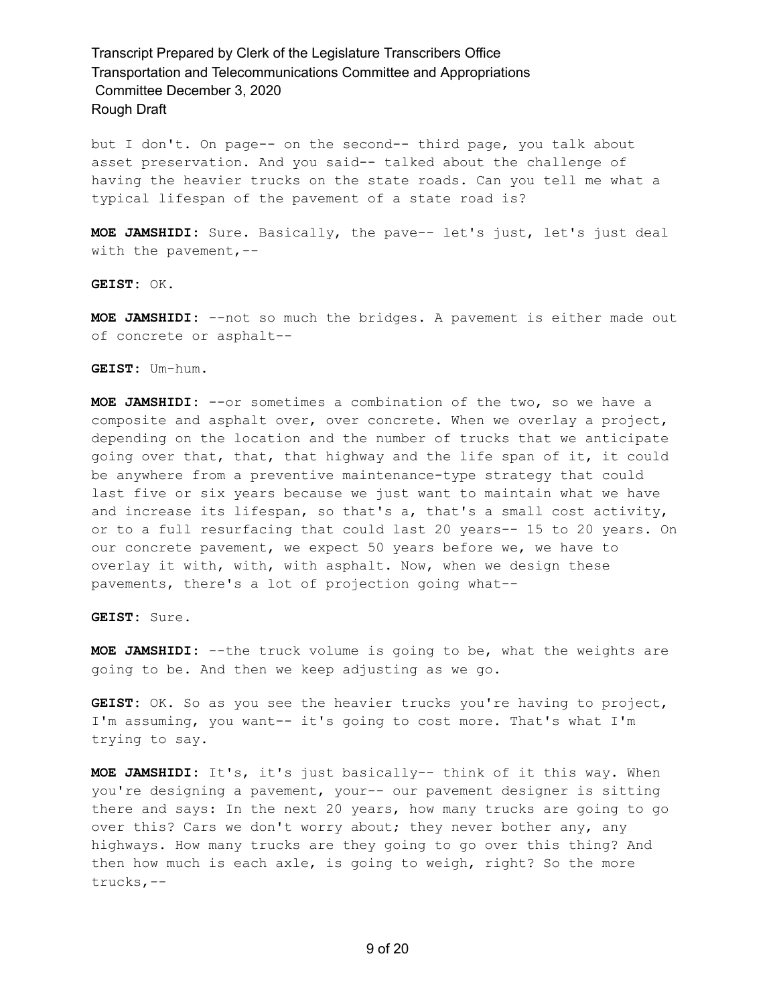but I don't. On page-- on the second-- third page, you talk about asset preservation. And you said-- talked about the challenge of having the heavier trucks on the state roads. Can you tell me what a typical lifespan of the pavement of a state road is?

**MOE JAMSHIDI:** Sure. Basically, the pave-- let's just, let's just deal with the pavement,--

**GEIST:** OK.

**MOE JAMSHIDI:** --not so much the bridges. A pavement is either made out of concrete or asphalt--

**GEIST:** Um-hum.

**MOE JAMSHIDI:** --or sometimes a combination of the two, so we have a composite and asphalt over, over concrete. When we overlay a project, depending on the location and the number of trucks that we anticipate going over that, that, that highway and the life span of it, it could be anywhere from a preventive maintenance-type strategy that could last five or six years because we just want to maintain what we have and increase its lifespan, so that's a, that's a small cost activity, or to a full resurfacing that could last 20 years-- 15 to 20 years. On our concrete pavement, we expect 50 years before we, we have to overlay it with, with, with asphalt. Now, when we design these pavements, there's a lot of projection going what--

**GEIST:** Sure.

**MOE JAMSHIDI:** --the truck volume is going to be, what the weights are going to be. And then we keep adjusting as we go.

**GEIST:** OK. So as you see the heavier trucks you're having to project, I'm assuming, you want-- it's going to cost more. That's what I'm trying to say.

**MOE JAMSHIDI:** It's, it's just basically-- think of it this way. When you're designing a pavement, your-- our pavement designer is sitting there and says: In the next 20 years, how many trucks are going to go over this? Cars we don't worry about; they never bother any, any highways. How many trucks are they going to go over this thing? And then how much is each axle, is going to weigh, right? So the more trucks,--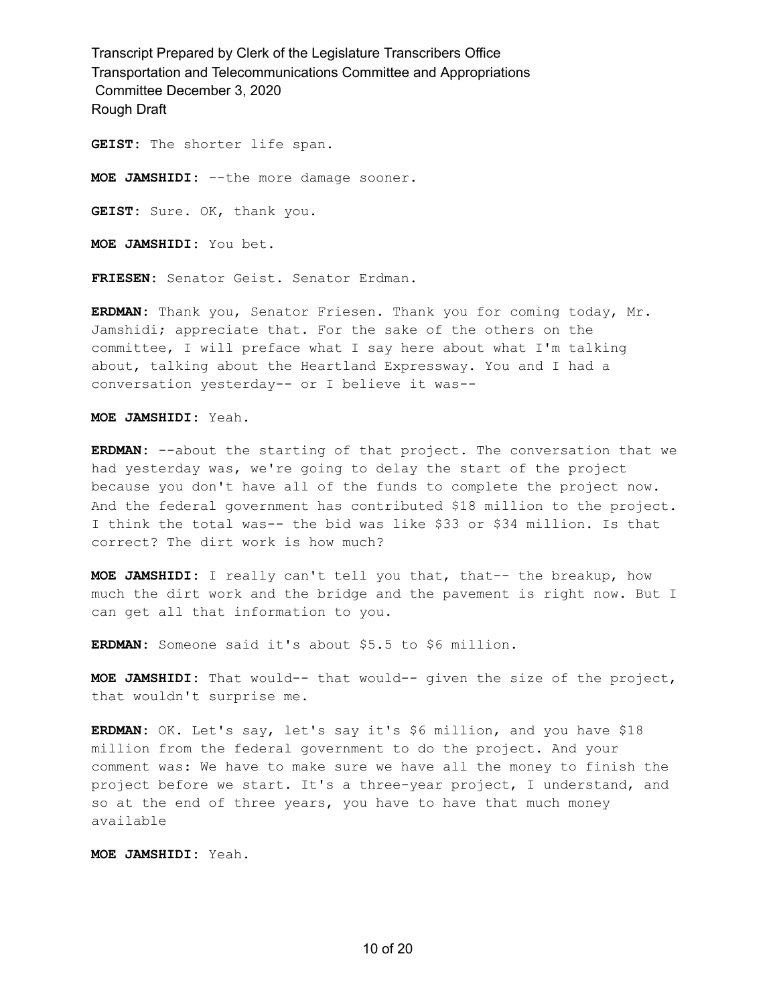**GEIST:** The shorter life span.

**MOE JAMSHIDI:** --the more damage sooner.

**GEIST:** Sure. OK, thank you.

**MOE JAMSHIDI:** You bet.

**FRIESEN:** Senator Geist. Senator Erdman.

**ERDMAN:** Thank you, Senator Friesen. Thank you for coming today, Mr. Jamshidi; appreciate that. For the sake of the others on the committee, I will preface what I say here about what I'm talking about, talking about the Heartland Expressway. You and I had a conversation yesterday-- or I believe it was--

**MOE JAMSHIDI:** Yeah.

**ERDMAN:** --about the starting of that project. The conversation that we had yesterday was, we're going to delay the start of the project because you don't have all of the funds to complete the project now. And the federal government has contributed \$18 million to the project. I think the total was-- the bid was like \$33 or \$34 million. Is that correct? The dirt work is how much?

**MOE JAMSHIDI:** I really can't tell you that, that-- the breakup, how much the dirt work and the bridge and the pavement is right now. But I can get all that information to you.

**ERDMAN:** Someone said it's about \$5.5 to \$6 million.

**MOE JAMSHIDI:** That would-- that would-- given the size of the project, that wouldn't surprise me.

**ERDMAN:** OK. Let's say, let's say it's \$6 million, and you have \$18 million from the federal government to do the project. And your comment was: We have to make sure we have all the money to finish the project before we start. It's a three-year project, I understand, and so at the end of three years, you have to have that much money available

**MOE JAMSHIDI:** Yeah.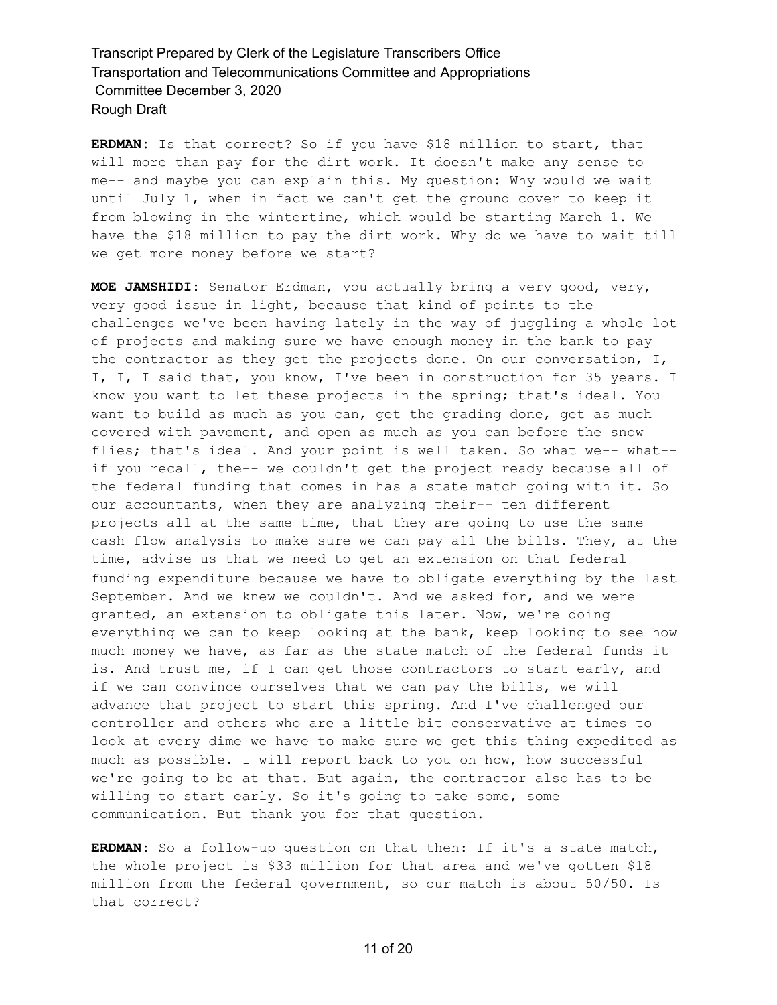**ERDMAN:** Is that correct? So if you have \$18 million to start, that will more than pay for the dirt work. It doesn't make any sense to me-- and maybe you can explain this. My question: Why would we wait until July 1, when in fact we can't get the ground cover to keep it from blowing in the wintertime, which would be starting March 1. We have the \$18 million to pay the dirt work. Why do we have to wait till we get more money before we start?

**MOE JAMSHIDI:** Senator Erdman, you actually bring a very good, very, very good issue in light, because that kind of points to the challenges we've been having lately in the way of juggling a whole lot of projects and making sure we have enough money in the bank to pay the contractor as they get the projects done. On our conversation, I, I, I, I said that, you know, I've been in construction for 35 years. I know you want to let these projects in the spring; that's ideal. You want to build as much as you can, get the grading done, get as much covered with pavement, and open as much as you can before the snow flies; that's ideal. And your point is well taken. So what we-- what-if you recall, the-- we couldn't get the project ready because all of the federal funding that comes in has a state match going with it. So our accountants, when they are analyzing their-- ten different projects all at the same time, that they are going to use the same cash flow analysis to make sure we can pay all the bills. They, at the time, advise us that we need to get an extension on that federal funding expenditure because we have to obligate everything by the last September. And we knew we couldn't. And we asked for, and we were granted, an extension to obligate this later. Now, we're doing everything we can to keep looking at the bank, keep looking to see how much money we have, as far as the state match of the federal funds it is. And trust me, if I can get those contractors to start early, and if we can convince ourselves that we can pay the bills, we will advance that project to start this spring. And I've challenged our controller and others who are a little bit conservative at times to look at every dime we have to make sure we get this thing expedited as much as possible. I will report back to you on how, how successful we're going to be at that. But again, the contractor also has to be willing to start early. So it's going to take some, some communication. But thank you for that question.

**ERDMAN:** So a follow-up question on that then: If it's a state match, the whole project is \$33 million for that area and we've gotten \$18 million from the federal government, so our match is about 50/50. Is that correct?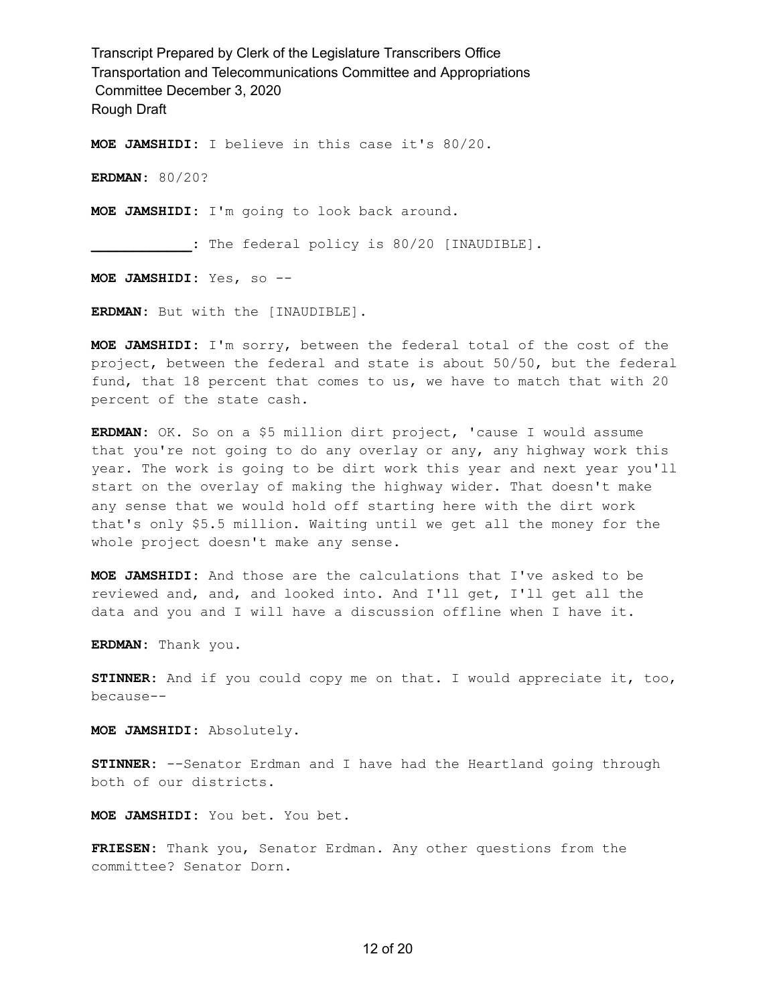**MOE JAMSHIDI:** I believe in this case it's 80/20.

**ERDMAN:** 80/20?

**MOE JAMSHIDI:** I'm going to look back around.

**\_\_\_\_\_\_\_\_\_\_\_\_:** The federal policy is 80/20 [INAUDIBLE].

**MOE JAMSHIDI:** Yes, so --

**ERDMAN:** But with the [INAUDIBLE].

**MOE JAMSHIDI:** I'm sorry, between the federal total of the cost of the project, between the federal and state is about 50/50, but the federal fund, that 18 percent that comes to us, we have to match that with 20 percent of the state cash.

**ERDMAN:** OK. So on a \$5 million dirt project, 'cause I would assume that you're not going to do any overlay or any, any highway work this year. The work is going to be dirt work this year and next year you'll start on the overlay of making the highway wider. That doesn't make any sense that we would hold off starting here with the dirt work that's only \$5.5 million. Waiting until we get all the money for the whole project doesn't make any sense.

**MOE JAMSHIDI:** And those are the calculations that I've asked to be reviewed and, and, and looked into. And I'll get, I'll get all the data and you and I will have a discussion offline when I have it.

**ERDMAN:** Thank you.

**STINNER:** And if you could copy me on that. I would appreciate it, too, because--

**MOE JAMSHIDI:** Absolutely.

**STINNER:** --Senator Erdman and I have had the Heartland going through both of our districts.

**MOE JAMSHIDI:** You bet. You bet.

**FRIESEN:** Thank you, Senator Erdman. Any other questions from the committee? Senator Dorn.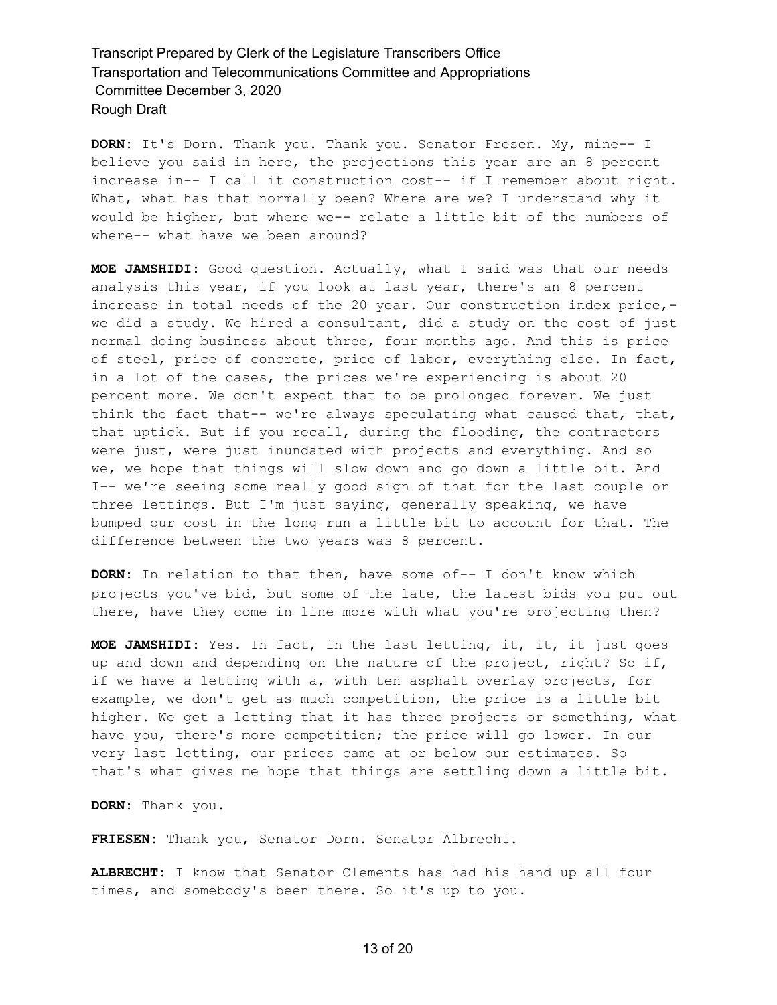**DORN:** It's Dorn. Thank you. Thank you. Senator Fresen. My, mine-- I believe you said in here, the projections this year are an 8 percent increase in-- I call it construction cost-- if I remember about right. What, what has that normally been? Where are we? I understand why it would be higher, but where we-- relate a little bit of the numbers of where-- what have we been around?

**MOE JAMSHIDI:** Good question. Actually, what I said was that our needs analysis this year, if you look at last year, there's an 8 percent increase in total needs of the 20 year. Our construction index price, we did a study. We hired a consultant, did a study on the cost of just normal doing business about three, four months ago. And this is price of steel, price of concrete, price of labor, everything else. In fact, in a lot of the cases, the prices we're experiencing is about 20 percent more. We don't expect that to be prolonged forever. We just think the fact that-- we're always speculating what caused that, that, that uptick. But if you recall, during the flooding, the contractors were just, were just inundated with projects and everything. And so we, we hope that things will slow down and go down a little bit. And I-- we're seeing some really good sign of that for the last couple or three lettings. But I'm just saying, generally speaking, we have bumped our cost in the long run a little bit to account for that. The difference between the two years was 8 percent.

**DORN:** In relation to that then, have some of-- I don't know which projects you've bid, but some of the late, the latest bids you put out there, have they come in line more with what you're projecting then?

**MOE JAMSHIDI:** Yes. In fact, in the last letting, it, it, it just goes up and down and depending on the nature of the project, right? So if, if we have a letting with a, with ten asphalt overlay projects, for example, we don't get as much competition, the price is a little bit higher. We get a letting that it has three projects or something, what have you, there's more competition; the price will go lower. In our very last letting, our prices came at or below our estimates. So that's what gives me hope that things are settling down a little bit.

**DORN:** Thank you.

**FRIESEN:** Thank you, Senator Dorn. Senator Albrecht.

**ALBRECHT:** I know that Senator Clements has had his hand up all four times, and somebody's been there. So it's up to you.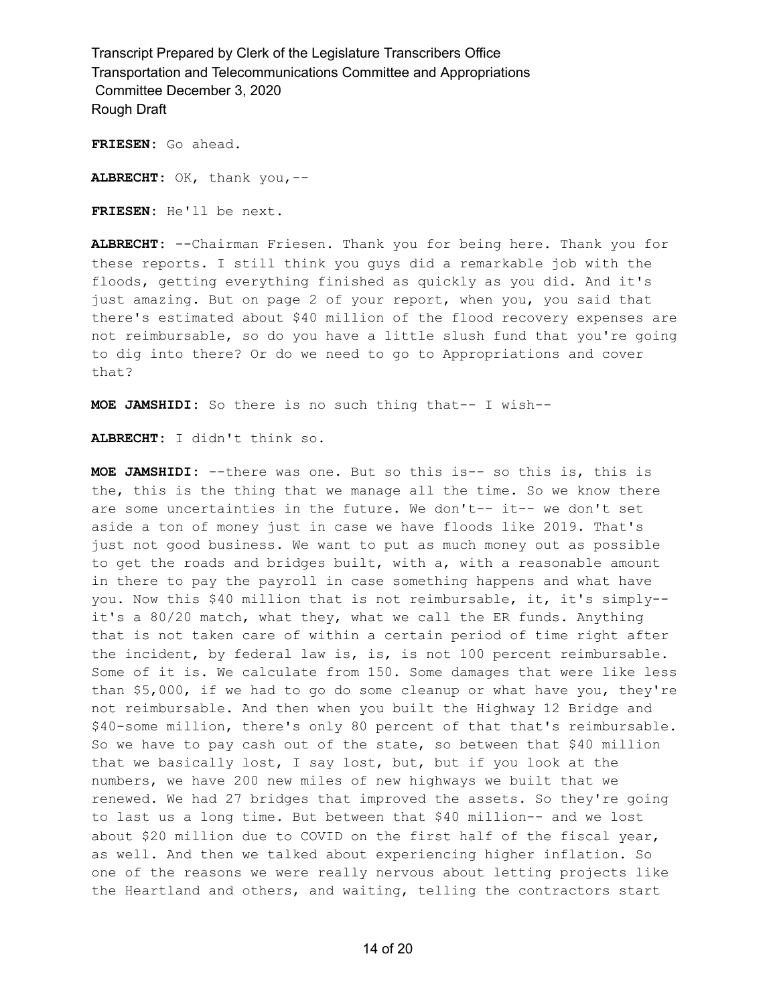**FRIESEN:** Go ahead.

**ALBRECHT:** OK, thank you,--

**FRIESEN:** He'll be next.

**ALBRECHT:** --Chairman Friesen. Thank you for being here. Thank you for these reports. I still think you guys did a remarkable job with the floods, getting everything finished as quickly as you did. And it's just amazing. But on page 2 of your report, when you, you said that there's estimated about \$40 million of the flood recovery expenses are not reimbursable, so do you have a little slush fund that you're going to dig into there? Or do we need to go to Appropriations and cover that?

**MOE JAMSHIDI:** So there is no such thing that-- I wish--

**ALBRECHT:** I didn't think so.

**MOE JAMSHIDI:** --there was one. But so this is-- so this is, this is the, this is the thing that we manage all the time. So we know there are some uncertainties in the future. We don't-- it-- we don't set aside a ton of money just in case we have floods like 2019. That's just not good business. We want to put as much money out as possible to get the roads and bridges built, with a, with a reasonable amount in there to pay the payroll in case something happens and what have you. Now this \$40 million that is not reimbursable, it, it's simply- it's a 80/20 match, what they, what we call the ER funds. Anything that is not taken care of within a certain period of time right after the incident, by federal law is, is, is not  $100$  percent reimbursable. Some of it is. We calculate from 150. Some damages that were like less than \$5,000, if we had to go do some cleanup or what have you, they're not reimbursable. And then when you built the Highway 12 Bridge and \$40-some million, there's only 80 percent of that that's reimbursable. So we have to pay cash out of the state, so between that \$40 million that we basically lost, I say lost, but, but if you look at the numbers, we have 200 new miles of new highways we built that we renewed. We had 27 bridges that improved the assets. So they're going to last us a long time. But between that \$40 million-- and we lost about \$20 million due to COVID on the first half of the fiscal year, as well. And then we talked about experiencing higher inflation. So one of the reasons we were really nervous about letting projects like the Heartland and others, and waiting, telling the contractors start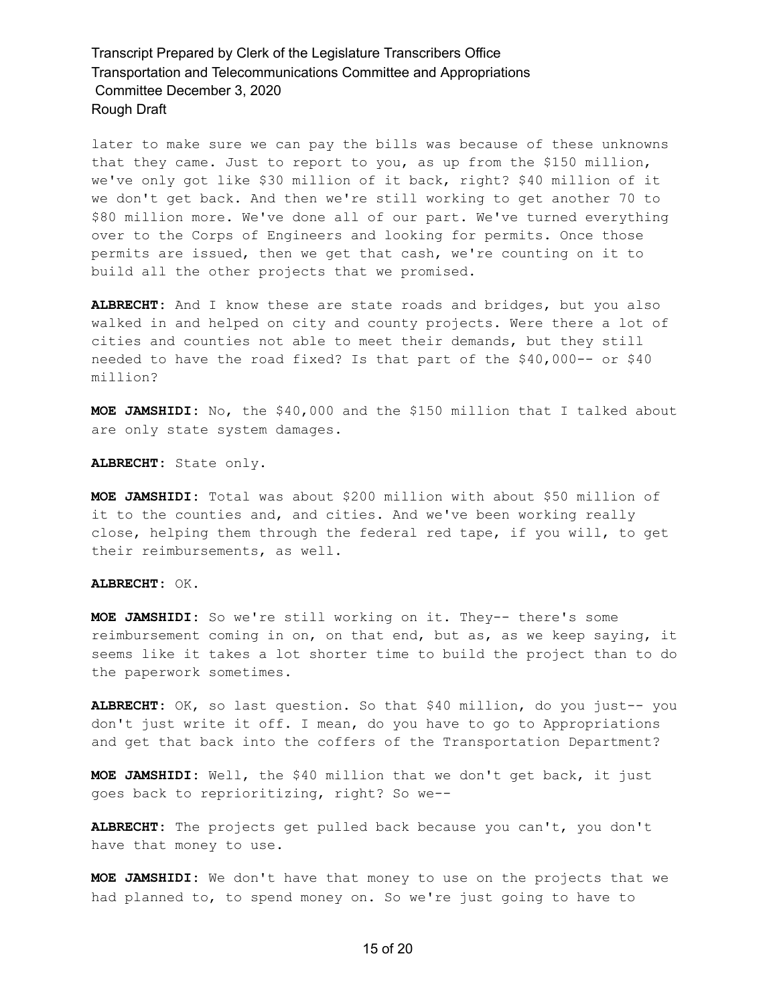later to make sure we can pay the bills was because of these unknowns that they came. Just to report to you, as up from the \$150 million, we've only got like \$30 million of it back, right? \$40 million of it we don't get back. And then we're still working to get another 70 to \$80 million more. We've done all of our part. We've turned everything over to the Corps of Engineers and looking for permits. Once those permits are issued, then we get that cash, we're counting on it to build all the other projects that we promised.

**ALBRECHT:** And I know these are state roads and bridges, but you also walked in and helped on city and county projects. Were there a lot of cities and counties not able to meet their demands, but they still needed to have the road fixed? Is that part of the \$40,000-- or \$40 million?

**MOE JAMSHIDI:** No, the \$40,000 and the \$150 million that I talked about are only state system damages.

**ALBRECHT:** State only.

**MOE JAMSHIDI:** Total was about \$200 million with about \$50 million of it to the counties and, and cities. And we've been working really close, helping them through the federal red tape, if you will, to get their reimbursements, as well.

### **ALBRECHT:** OK.

**MOE JAMSHIDI:** So we're still working on it. They-- there's some reimbursement coming in on, on that end, but as, as we keep saying, it seems like it takes a lot shorter time to build the project than to do the paperwork sometimes.

**ALBRECHT:** OK, so last question. So that \$40 million, do you just-- you don't just write it off. I mean, do you have to go to Appropriations and get that back into the coffers of the Transportation Department?

**MOE JAMSHIDI:** Well, the \$40 million that we don't get back, it just goes back to reprioritizing, right? So we--

**ALBRECHT:** The projects get pulled back because you can't, you don't have that money to use.

**MOE JAMSHIDI:** We don't have that money to use on the projects that we had planned to, to spend money on. So we're just going to have to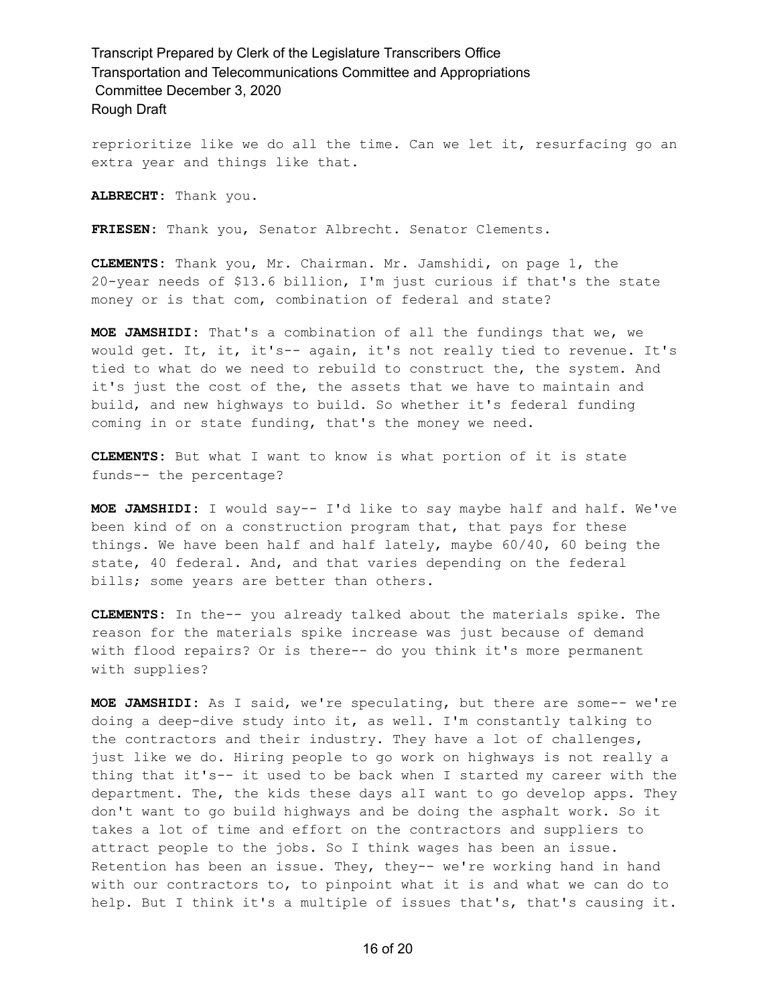reprioritize like we do all the time. Can we let it, resurfacing go an extra year and things like that.

**ALBRECHT:** Thank you.

**FRIESEN:** Thank you, Senator Albrecht. Senator Clements.

**CLEMENTS:** Thank you, Mr. Chairman. Mr. Jamshidi, on page 1, the 20-year needs of \$13.6 billion, I'm just curious if that's the state money or is that com, combination of federal and state?

**MOE JAMSHIDI:** That's a combination of all the fundings that we, we would get. It, it, it's-- again, it's not really tied to revenue. It's tied to what do we need to rebuild to construct the, the system. And it's just the cost of the, the assets that we have to maintain and build, and new highways to build. So whether it's federal funding coming in or state funding, that's the money we need.

**CLEMENTS:** But what I want to know is what portion of it is state funds-- the percentage?

**MOE JAMSHIDI:** I would say-- I'd like to say maybe half and half. We've been kind of on a construction program that, that pays for these things. We have been half and half lately, maybe 60/40, 60 being the state, 40 federal. And, and that varies depending on the federal bills; some years are better than others.

**CLEMENTS:** In the-- you already talked about the materials spike. The reason for the materials spike increase was just because of demand with flood repairs? Or is there-- do you think it's more permanent with supplies?

**MOE JAMSHIDI:** As I said, we're speculating, but there are some-- we're doing a deep-dive study into it, as well. I'm constantly talking to the contractors and their industry. They have a lot of challenges, just like we do. Hiring people to go work on highways is not really a thing that it's-- it used to be back when I started my career with the department. The, the kids these days alI want to go develop apps. They don't want to go build highways and be doing the asphalt work. So it takes a lot of time and effort on the contractors and suppliers to attract people to the jobs. So I think wages has been an issue. Retention has been an issue. They, they-- we're working hand in hand with our contractors to, to pinpoint what it is and what we can do to help. But I think it's a multiple of issues that's, that's causing it.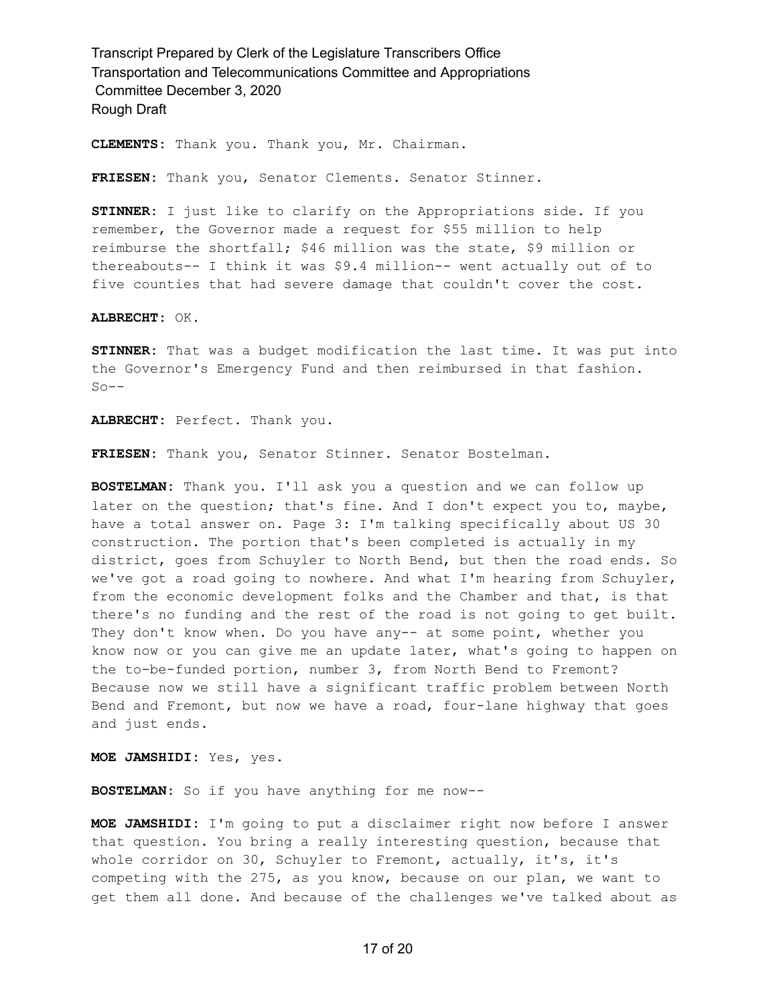**CLEMENTS:** Thank you. Thank you, Mr. Chairman.

**FRIESEN:** Thank you, Senator Clements. Senator Stinner.

**STINNER:** I just like to clarify on the Appropriations side. If you remember, the Governor made a request for \$55 million to help reimburse the shortfall; \$46 million was the state, \$9 million or thereabouts-- I think it was \$9.4 million-- went actually out of to five counties that had severe damage that couldn't cover the cost.

**ALBRECHT:** OK.

**STINNER:** That was a budget modification the last time. It was put into the Governor's Emergency Fund and then reimbursed in that fashion.  $So --$ 

**ALBRECHT:** Perfect. Thank you.

**FRIESEN:** Thank you, Senator Stinner. Senator Bostelman.

**BOSTELMAN:** Thank you. I'll ask you a question and we can follow up later on the question; that's fine. And I don't expect you to, maybe, have a total answer on. Page 3: I'm talking specifically about US 30 construction. The portion that's been completed is actually in my district, goes from Schuyler to North Bend, but then the road ends. So we've got a road going to nowhere. And what I'm hearing from Schuyler, from the economic development folks and the Chamber and that, is that there's no funding and the rest of the road is not going to get built. They don't know when. Do you have any-- at some point, whether you know now or you can give me an update later, what's going to happen on the to-be-funded portion, number 3, from North Bend to Fremont? Because now we still have a significant traffic problem between North Bend and Fremont, but now we have a road, four-lane highway that goes and just ends.

**MOE JAMSHIDI:** Yes, yes.

**BOSTELMAN:** So if you have anything for me now--

**MOE JAMSHIDI:** I'm going to put a disclaimer right now before I answer that question. You bring a really interesting question, because that whole corridor on 30, Schuyler to Fremont, actually, it's, it's competing with the 275, as you know, because on our plan, we want to get them all done. And because of the challenges we've talked about as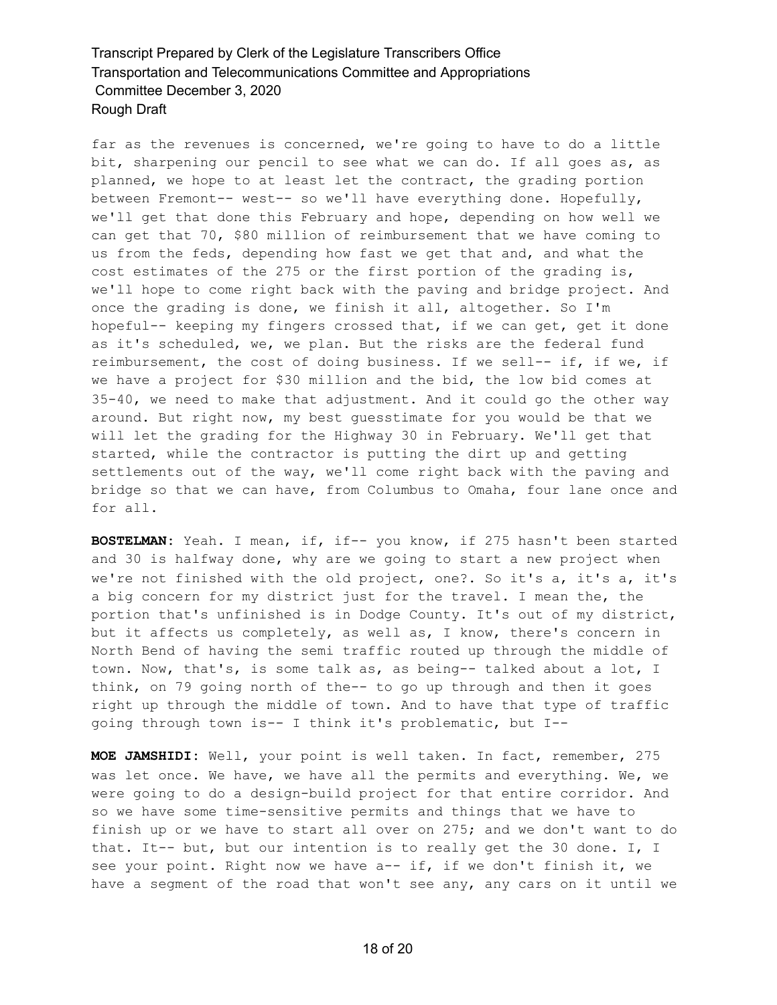far as the revenues is concerned, we're going to have to do a little bit, sharpening our pencil to see what we can do. If all goes as, as planned, we hope to at least let the contract, the grading portion between Fremont-- west-- so we'll have everything done. Hopefully, we'll get that done this February and hope, depending on how well we can get that 70, \$80 million of reimbursement that we have coming to us from the feds, depending how fast we get that and, and what the cost estimates of the 275 or the first portion of the grading is, we'll hope to come right back with the paving and bridge project. And once the grading is done, we finish it all, altogether. So I'm hopeful-- keeping my fingers crossed that, if we can get, get it done as it's scheduled, we, we plan. But the risks are the federal fund reimbursement, the cost of doing business. If we sell-- if, if we, if we have a project for \$30 million and the bid, the low bid comes at 35-40, we need to make that adjustment. And it could go the other way around. But right now, my best guesstimate for you would be that we will let the grading for the Highway 30 in February. We'll get that started, while the contractor is putting the dirt up and getting settlements out of the way, we'll come right back with the paving and bridge so that we can have, from Columbus to Omaha, four lane once and for all.

**BOSTELMAN:** Yeah. I mean, if, if-- you know, if 275 hasn't been started and 30 is halfway done, why are we going to start a new project when we're not finished with the old project, one?. So it's a, it's a, it's a big concern for my district just for the travel. I mean the, the portion that's unfinished is in Dodge County. It's out of my district, but it affects us completely, as well as, I know, there's concern in North Bend of having the semi traffic routed up through the middle of town. Now, that's, is some talk as, as being-- talked about a lot, I think, on 79 going north of the-- to go up through and then it goes right up through the middle of town. And to have that type of traffic going through town is-- I think it's problematic, but I--

**MOE JAMSHIDI:** Well, your point is well taken. In fact, remember, 275 was let once. We have, we have all the permits and everything. We, we were going to do a design-build project for that entire corridor. And so we have some time-sensitive permits and things that we have to finish up or we have to start all over on 275; and we don't want to do that. It-- but, but our intention is to really get the 30 done. I, I see your point. Right now we have a-- if, if we don't finish it, we have a segment of the road that won't see any, any cars on it until we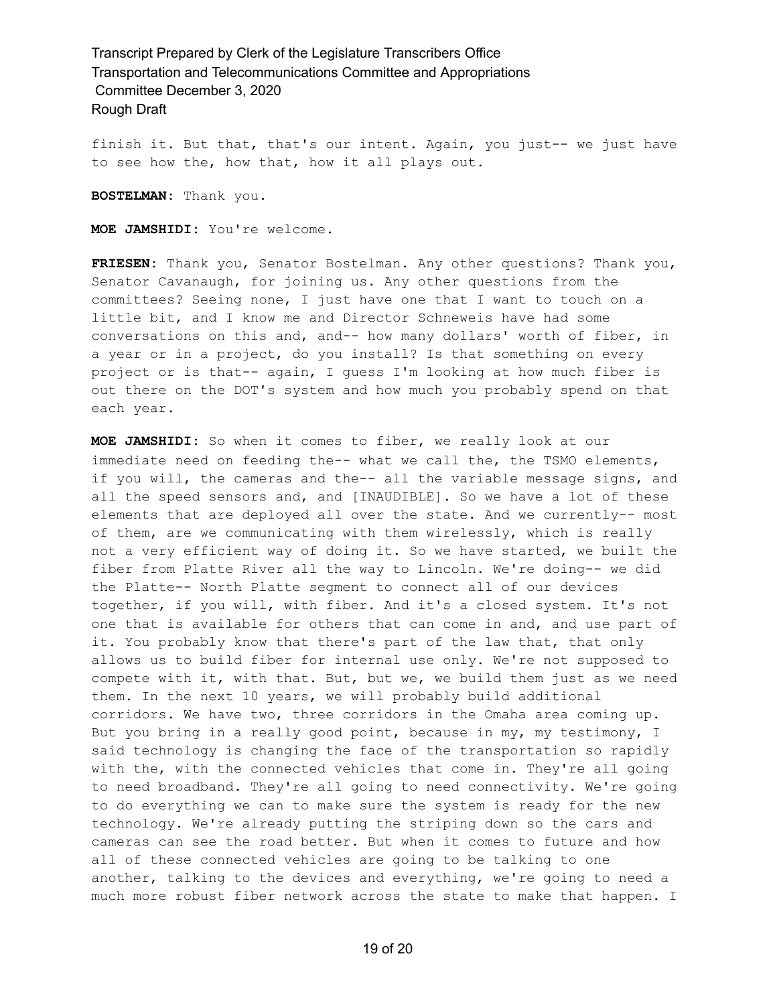finish it. But that, that's our intent. Again, you just-- we just have to see how the, how that, how it all plays out.

**BOSTELMAN:** Thank you.

**MOE JAMSHIDI:** You're welcome.

**FRIESEN:** Thank you, Senator Bostelman. Any other questions? Thank you, Senator Cavanaugh, for joining us. Any other questions from the committees? Seeing none, I just have one that I want to touch on a little bit, and I know me and Director Schneweis have had some conversations on this and, and-- how many dollars' worth of fiber, in a year or in a project, do you install? Is that something on every project or is that-- again, I guess I'm looking at how much fiber is out there on the DOT's system and how much you probably spend on that each year.

**MOE JAMSHIDI:** So when it comes to fiber, we really look at our immediate need on feeding the-- what we call the, the TSMO elements, if you will, the cameras and the-- all the variable message signs, and all the speed sensors and, and [INAUDIBLE]. So we have a lot of these elements that are deployed all over the state. And we currently-- most of them, are we communicating with them wirelessly, which is really not a very efficient way of doing it. So we have started, we built the fiber from Platte River all the way to Lincoln. We're doing-- we did the Platte-- North Platte segment to connect all of our devices together, if you will, with fiber. And it's a closed system. It's not one that is available for others that can come in and, and use part of it. You probably know that there's part of the law that, that only allows us to build fiber for internal use only. We're not supposed to compete with it, with that. But, but we, we build them just as we need them. In the next 10 years, we will probably build additional corridors. We have two, three corridors in the Omaha area coming up. But you bring in a really good point, because in my, my testimony, I said technology is changing the face of the transportation so rapidly with the, with the connected vehicles that come in. They're all going to need broadband. They're all going to need connectivity. We're going to do everything we can to make sure the system is ready for the new technology. We're already putting the striping down so the cars and cameras can see the road better. But when it comes to future and how all of these connected vehicles are going to be talking to one another, talking to the devices and everything, we're going to need a much more robust fiber network across the state to make that happen. I